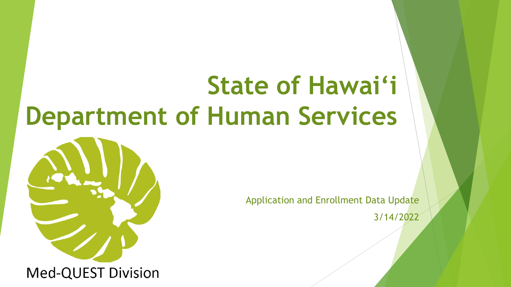## **State of Hawai'i Department of Human Services**



Application and Enrollment Data Update 3/14/2022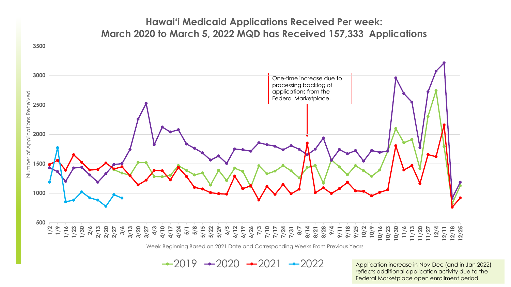## **Hawai'i Medicaid Applications Received Per week: March 2020 to March 5, 2022 MQD has Received 157,333 Applications**



Week Beginning Based on 2021 Date and Corresponding Weeks From Previous Years

 $-2019 -2020 -2021 -2022$ 

Application increase in Nov-Dec (and in Jan 2022) reflects additional application activity due to the Federal Marketplace open enrollment period.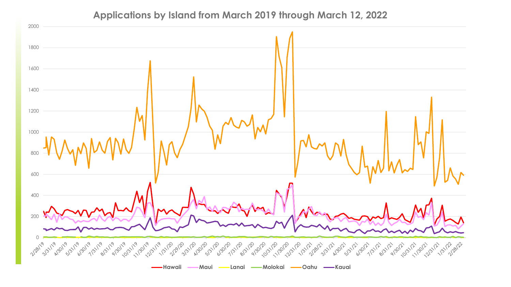## **Applications by Island from March 2019 through March 12, 2022**

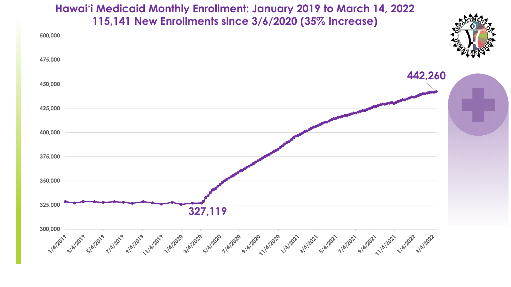**Hawai'i Medicaid Monthly Enrollment: January 2019 to March 14, 2022 115,141 New Enrollments since 3/6/2020 (35% Increase)**